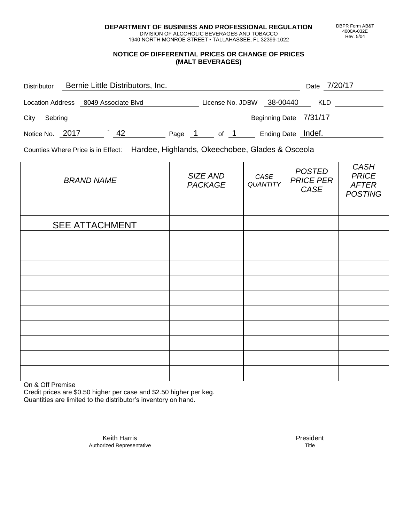**DEPARTMENT OF BUSINESS AND PROFESSIONAL REGULATION** DIVISION OF ALCOHOLIC BEVERAGES AND TOBACCO

1940 NORTH MONROE STREET • TALLAHASSEE, FL 32399-1022

#### **NOTICE OF DIFFERENTIAL PRICES OR CHANGE OF PRICES (MALT BEVERAGES)**

| <b>Distributor</b> |                     | Bernie Little Distributors, Inc. |        |                  |  |                        | Date 7/20/17 |  |
|--------------------|---------------------|----------------------------------|--------|------------------|--|------------------------|--------------|--|
| Location Address   | 8049 Associate Blvd |                                  |        | License No. JDBW |  | 38-00440               | <b>KLD</b>   |  |
| City<br>Sebring    |                     |                                  |        |                  |  | Beginning Date 7/31/17 |              |  |
| Notice No. 2017    |                     | 42                               | Page 1 | of 1             |  | Ending Date Indef.     |              |  |

Counties Where Price is in Effect: Hardee, Highlands, Okeechobee, Glades & Osceola

| <b>BRAND NAME</b>     | SIZE AND<br><b>PACKAGE</b> | CASE<br>QUANTITY | <b>POSTED</b><br><b>PRICE PER</b><br>CASE | CASH<br><b>PRICE</b><br><b>AFTER</b><br><b>POSTING</b> |  |
|-----------------------|----------------------------|------------------|-------------------------------------------|--------------------------------------------------------|--|
|                       |                            |                  |                                           |                                                        |  |
| <b>SEE ATTACHMENT</b> |                            |                  |                                           |                                                        |  |
|                       |                            |                  |                                           |                                                        |  |
|                       |                            |                  |                                           |                                                        |  |
|                       |                            |                  |                                           |                                                        |  |
|                       |                            |                  |                                           |                                                        |  |
|                       |                            |                  |                                           |                                                        |  |
|                       |                            |                  |                                           |                                                        |  |
|                       |                            |                  |                                           |                                                        |  |
|                       |                            |                  |                                           |                                                        |  |
|                       |                            |                  |                                           |                                                        |  |
|                       |                            |                  |                                           |                                                        |  |

On & Off Premise

Credit prices are \$0.50 higher per case and \$2.50 higher per keg. Quantities are limited to the distributor's inventory on hand.

Keith Harris **President** President **President** President President **President** President **President** Authorized Representative

DBPR Form AB&T 4000A-032E Rev. 5/04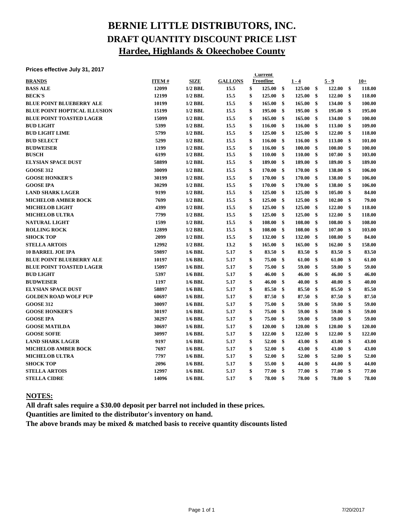# **BERNIE LITTLE DISTRIBUTORS, INC. DRAFT QUANTITY DISCOUNT PRICE LIST Hardee, Highlands & Okeechobee County**

#### **Prices effective July 31, 2017**

| <b>FILLES CHELLIVE JULY JI, ZUIT</b> |              |             |                | <b>Current</b> |               |         |                        |        |              |
|--------------------------------------|--------------|-------------|----------------|----------------|---------------|---------|------------------------|--------|--------------|
| <b>BRANDS</b>                        | <b>ITEM#</b> | <b>SIZE</b> | <b>GALLONS</b> | Frontline      |               | $1 - 4$ |                        | 5 - 9  | $10+$        |
| <b>BASS ALE</b>                      | 12099        | $1/2$ BBL   | 15.5           | \$<br>125.00   | $\mathbf{\$}$ | 125.00  | $\mathbf{\$}$          | 122.00 | \$<br>118.00 |
| <b>BECK'S</b>                        | 12199        | $1/2$ BBL   | 15.5           | \$<br>125.00   | \$            | 125.00  | \$                     | 122.00 | \$<br>118.00 |
| <b>BLUE POINT BLUEBERRY ALE</b>      | 10199        | $1/2$ BBL   | 15.5           | \$<br>165.00   | \$            | 165.00  | \$                     | 134.00 | \$<br>100.00 |
| <b>BLUE POINT HOPTICAL ILLUSION</b>  | 15199        | $1/2$ BBL   | 15.5           | \$<br>195.00   | \$            | 195.00  | \$                     | 195.00 | \$<br>195.00 |
| <b>BLUE POINT TOASTED LAGER</b>      | 15099        | $1/2$ BBL   | 15.5           | \$<br>165.00   | \$            | 165.00  | \$                     | 134.00 | \$<br>100.00 |
| <b>BUD LIGHT</b>                     | 5399         | $1/2$ BBL   | 15.5           | \$<br>116.00   | \$            | 116.00  | \$                     | 113.00 | \$<br>109.00 |
| <b>BUD LIGHT LIME</b>                | 5799         | $1/2$ BBL   | 15.5           | \$<br>125.00   | \$            | 125.00  | \$                     | 122.00 | \$<br>118.00 |
| <b>BUD SELECT</b>                    | 5299         | $1/2$ BBL   | 15.5           | \$<br>116.00   | \$            | 116.00  | \$                     | 113.00 | \$<br>101.00 |
| <b>BUDWEISER</b>                     | 1199         | $1/2$ BBL   | 15.5           | \$<br>116.00   | \$            | 100.00  | \$                     | 100.00 | \$<br>100.00 |
| <b>BUSCH</b>                         | 6199         | $1/2$ BBL   | 15.5           | \$<br>110.00   | \$            | 110.00  | \$                     | 107.00 | \$<br>103.00 |
| <b>ELYSIAN SPACE DUST</b>            | 58899        | $1/2$ BBL   | 15.5           | \$<br>189.00   | \$            | 189.00  | \$                     | 189.00 | \$<br>189.00 |
| <b>GOOSE 312</b>                     | 30099        | $1/2$ BBL   | 15.5           | \$<br>170.00   | \$            | 170.00  | \$                     | 138.00 | \$<br>106.00 |
| <b>GOOSE HONKER'S</b>                | 30199        | $1/2$ BBL   | 15.5           | \$<br>170.00   | \$            | 170.00  | \$                     | 138.00 | \$<br>106.00 |
| <b>GOOSE IPA</b>                     | 30299        | $1/2$ BBL   | 15.5           | \$<br>170.00   | \$            | 170.00  | \$                     | 138.00 | \$<br>106.00 |
| <b>LAND SHARK LAGER</b>              | 9199         | $1/2$ BBL   | 15.5           | \$<br>125.00   | \$            | 125.00  | \$                     | 105.00 | \$<br>84.00  |
| <b>MICHELOB AMBER BOCK</b>           | 7699         | $1/2$ BBL   | 15.5           | \$<br>125.00   | \$            | 125.00  | \$                     | 102.00 | \$<br>79.00  |
| <b>MICHELOB LIGHT</b>                | 4399         | $1/2$ BBL   | 15.5           | \$<br>125.00   | \$            | 125.00  | $\mathbf{s}$           | 122.00 | \$<br>118.00 |
| <b>MICHELOB ULTRA</b>                | 7799         | $1/2$ BBL   | 15.5           | \$<br>125.00   | \$            | 125.00  | \$                     | 122.00 | \$<br>118.00 |
| <b>NATURAL LIGHT</b>                 | 1599         | $1/2$ BBL   | 15.5           | \$<br>108.00   | \$            | 108.00  | \$                     | 108.00 | \$<br>108.00 |
| <b>ROLLING ROCK</b>                  | 12899        | $1/2$ BBL   | 15.5           | \$<br>108.00   | \$            | 108.00  | \$                     | 107.00 | \$<br>103.00 |
| <b>SHOCK TOP</b>                     | 2099         | $1/2$ BBL   | 15.5           | \$<br>132.00   | \$            | 132.00  | \$                     | 108.00 | \$<br>84.00  |
| <b>STELLA ARTOIS</b>                 | 12992        | $1/2$ BBL   | 13.2           | \$<br>165.00   | \$            | 165.00  | $\mathbf{\$}$          | 162.00 | \$<br>158.00 |
| <b>10 BARREL JOE IPA</b>             | 59897        | $1/6$ BBL   | 5.17           | \$<br>83.50    | \$            | 83.50   | $\mathbf{s}$           | 83.50  | \$<br>83.50  |
| <b>BLUE POINT BLUEBERRY ALE</b>      | 10197        | $1/6$ BBL   | 5.17           | \$<br>75.00    | \$            | 61.00   | \$                     | 61.00  | \$<br>61.00  |
| <b>BLUE POINT TOASTED LAGER</b>      | 15097        | $1/6$ BBL   | 5.17           | \$<br>75.00    | \$            | 59.00   | \$                     | 59.00  | \$<br>59.00  |
| <b>BUD LIGHT</b>                     | 5397         | $1/6$ BBL   | 5.17           | \$<br>46.00    | \$            | 46.00   | \$                     | 46.00  | \$<br>46.00  |
| <b>BUDWEISER</b>                     | 1197         | $1/6$ BBL   | 5.17           | \$<br>46.00    | \$            | 40.00   | \$                     | 40.00  | \$<br>40.00  |
| <b>ELYSIAN SPACE DUST</b>            | 58897        | $1/6$ BBL   | 5.17           | \$<br>85.50    | \$            | 85.50   | \$                     | 85.50  | \$<br>85.50  |
| <b>GOLDEN ROAD WOLF PUP</b>          | 60697        | $1/6$ BBL   | 5.17           | \$<br>87.50    | \$            | 87.50   | \$                     | 87.50  | \$<br>87.50  |
| <b>GOOSE 312</b>                     | 30097        | $1/6$ BBL   | 5.17           | \$<br>75.00    | \$            | 59.00   | \$                     | 59.00  | \$<br>59.00  |
| <b>GOOSE HONKER'S</b>                | 30197        | $1/6$ BBL   | 5.17           | \$<br>75.00    | \$            | 59.00   | \$                     | 59.00  | \$<br>59.00  |
| <b>GOOSE IPA</b>                     | 30297        | $1/6$ BBL   | 5.17           | \$<br>75.00    | \$            | 59.00   | \$                     | 59.00  | \$<br>59.00  |
| <b>GOOSE MATILDA</b>                 | 30697        | $1/6$ BBL   | 5.17           | \$<br>120.00   | \$            | 120.00  | \$                     | 120.00 | \$<br>120.00 |
| <b>GOOSE SOFIE</b>                   | 30997        | $1/6$ BBL   | 5.17           | \$<br>122.00   | \$            | 122.00  | \$                     | 122.00 | \$<br>122.00 |
| <b>LAND SHARK LAGER</b>              | 9197         | $1/6$ BBL   | 5.17           | \$<br>52.00    | \$            | 43.00   | $\boldsymbol{\hat{s}}$ | 43.00  | \$<br>43.00  |
| <b>MICHELOB AMBER BOCK</b>           | 7697         | $1/6$ BBL   | 5.17           | \$<br>52.00    | \$            | 43.00   | \$                     | 43.00  | \$<br>43.00  |
| <b>MICHELOB ULTRA</b>                | 7797         | $1/6$ BBL   | 5.17           | \$<br>52.00    | \$            | 52.00   | \$                     | 52.00  | \$<br>52.00  |
| <b>SHOCK TOP</b>                     | 2096         | $1/6$ BBL   | 5.17           | \$<br>55.00    | \$            | 44.00   | \$                     | 44.00  | \$<br>44.00  |
| <b>STELLA ARTOIS</b>                 | 12997        | $1/6$ BBL   | 5.17           | \$<br>77.00    | \$            | 77.00   | \$                     | 77.00  | \$<br>77.00  |
| <b>STELLA CIDRE</b>                  | 14096        | $1/6$ BBL   | 5.17           | \$<br>78.00    | \$            | 78.00   | \$                     | 78.00  | \$<br>78.00  |
|                                      |              |             |                |                |               |         |                        |        |              |

#### **NOTES:**

**All draft sales require a \$30.00 deposit per barrel not included in these prices.**

**Quantities are limited to the distributor's inventory on hand.**

**The above brands may be mixed & matched basis to receive quantity discounts listed**